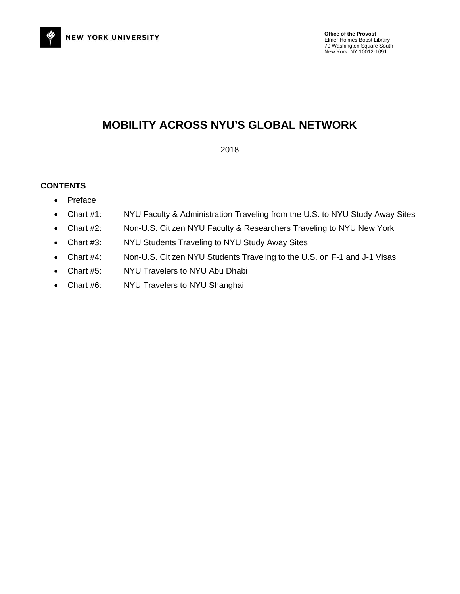

### **MOBILITY ACROSS NYU'S GLOBAL NETWORK**

2018

### **CONTENTS**

- Preface
- Chart #1: NYU Faculty & Administration Traveling from the U.S. to NYU Study Away Sites
- Chart #2: Non-U.S. Citizen NYU Faculty & Researchers Traveling to NYU New York
- Chart #3: NYU Students Traveling to NYU Study Away Sites
- Chart #4: Non-U.S. Citizen NYU Students Traveling to the U.S. on F-1 and J-1 Visas
- Chart #5: NYU Travelers to NYU Abu Dhabi
- Chart #6: NYU Travelers to NYU Shanghai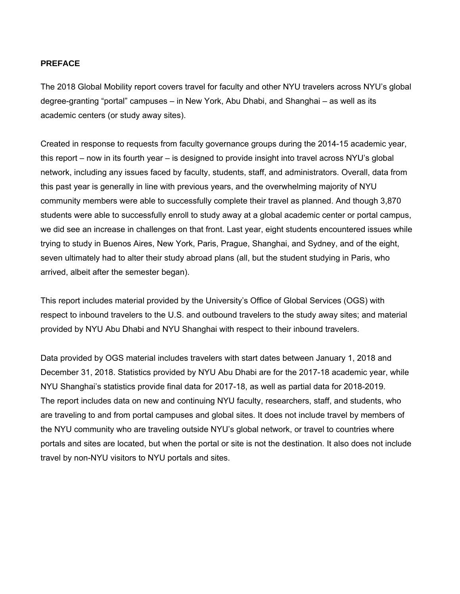### **PREFACE**

The 2018 Global Mobility report covers travel for faculty and other NYU travelers across NYU's global degree-granting "portal" campuses – in New York, Abu Dhabi, and Shanghai – as well as its academic centers (or study away sites).

Created in response to requests from faculty governance groups during the 2014-15 academic year, this report – now in its fourth year – is designed to provide insight into travel across NYU's global network, including any issues faced by faculty, students, staff, and administrators. Overall, data from this past year is generally in line with previous years, and the overwhelming majority of NYU community members were able to successfully complete their travel as planned. And though 3,870 students were able to successfully enroll to study away at a global academic center or portal campus, we did see an increase in challenges on that front. Last year, eight students encountered issues while trying to study in Buenos Aires, New York, Paris, Prague, Shanghai, and Sydney, and of the eight, seven ultimately had to alter their study abroad plans (all, but the student studying in Paris, who arrived, albeit after the semester began).

This report includes material provided by the University's Office of Global Services (OGS) with respect to inbound travelers to the U.S. and outbound travelers to the study away sites; and material provided by NYU Abu Dhabi and NYU Shanghai with respect to their inbound travelers.

Data provided by OGS material includes travelers with start dates between January 1, 2018 and December 31, 2018. Statistics provided by NYU Abu Dhabi are for the 2017-18 academic year, while NYU Shanghai's statistics provide final data for 2017-18, as well as partial data for 2018-2019. The report includes data on new and continuing NYU faculty, researchers, staff, and students, who are traveling to and from portal campuses and global sites. It does not include travel by members of the NYU community who are traveling outside NYU's global network, or travel to countries where portals and sites are located, but when the portal or site is not the destination. It also does not include travel by non-NYU visitors to NYU portals and sites.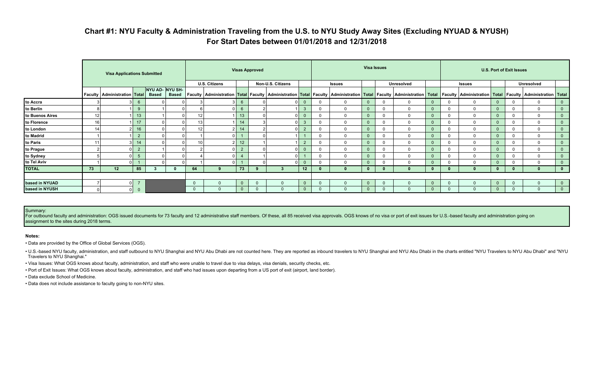# **Chart #1: NYU Faculty & Administration Traveling from the U.S. to NYU Study Away Sites (Excluding NYUAD & NYUSH) For Start Dates between 01/01/2018 and 12/31/2018**

|                 |    | <b>Visa Applications Submitted</b> |                                  |                                 |              | <b>Visas Approved</b> |                      |                |          | <b>Visa Issues</b> |                         |          |               |                |              |                   | <b>U.S. Port of Exit Issues</b> |              |               |                |  |                                                                                                                                                                                                                                                               |                |
|-----------------|----|------------------------------------|----------------------------------|---------------------------------|--------------|-----------------------|----------------------|----------------|----------|--------------------|-------------------------|----------|---------------|----------------|--------------|-------------------|---------------------------------|--------------|---------------|----------------|--|---------------------------------------------------------------------------------------------------------------------------------------------------------------------------------------------------------------------------------------------------------------|----------------|
|                 |    |                                    |                                  |                                 |              |                       | <b>U.S. Citizens</b> |                |          | Non-U.S. Citizens  |                         |          | <b>Issues</b> |                |              | <b>Unresolved</b> |                                 |              | <b>Issues</b> |                |  | <b>Unresolved</b>                                                                                                                                                                                                                                             |                |
|                 |    | Faculty   Administration   Total   |                                  | NYU AD- NYU SH-<br><b>Based</b> | <b>Based</b> |                       |                      |                |          |                    |                         |          |               |                |              |                   |                                 |              |               |                |  | Faculty   Administration <mark>  Total  </mark> Faculty   Administration <mark>  Total  </mark> Faculty   Administration   <mark>Total  </mark> Faculty   Administration   Total   Faculty   Administration   Total   Faculty   Administration   Total   Facu |                |
| to Accra        |    |                                    | 3 <sup>1</sup><br>6              |                                 |              |                       |                      | 6              |          |                    | $\overline{\mathbf{0}}$ |          | $\mathbf 0$   | $\overline{0}$ | $\mathbf{0}$ | $\mathbf{0}$      | 0                               | 0            | $\Omega$      | $\overline{0}$ |  | $\mathbf 0$                                                                                                                                                                                                                                                   | $\overline{0}$ |
| to Berlin       |    |                                    | 9                                |                                 |              |                       |                      |                |          |                    | 3                       |          | 0             | $\overline{0}$ | $\Omega$     | $\mathbf 0$       |                                 | $\Omega$     | $\Omega$      |                |  | $\mathbf 0$                                                                                                                                                                                                                                                   | $\overline{0}$ |
| to Buenos Aires | 12 |                                    | 13                               |                                 |              | 12                    |                      | 13             |          |                    |                         |          | $\Omega$      | $\overline{0}$ | $\mathbf 0$  | $\Omega$          |                                 |              | $\Omega$      |                |  | $\Omega$                                                                                                                                                                                                                                                      | $\overline{0}$ |
| to Florence     | 16 |                                    | 17                               |                                 |              | 13                    |                      | 14             |          |                    | 3                       | $\Omega$ | $\mathbf{0}$  | $\overline{0}$ | $\Omega$     | $\mathbf{0}$      | $\mathbf{0}$                    | $\mathbf{0}$ | $\mathbf{0}$  | $\mathbf{0}$   |  | $\mathbf 0$                                                                                                                                                                                                                                                   | $\overline{0}$ |
| to London       | 14 | 2                                  | 16                               |                                 |              | 12                    | 2                    | 14             |          |                    | $\overline{2}$          |          | $\mathbf 0$   | $\overline{0}$ | 0            | $\mathbf{0}$      |                                 | 0            | $\mathbf{0}$  |                |  | $\mathbf 0$                                                                                                                                                                                                                                                   | $\overline{0}$ |
| to Madrid       |    |                                    | $\overline{2}$                   |                                 |              |                       |                      |                |          |                    |                         |          | $\Omega$      | $\mathbf{0}$   | $\Omega$     | $\mathbf{0}$      |                                 |              | $\Omega$      |                |  | $\mathbf 0$                                                                                                                                                                                                                                                   | $\overline{0}$ |
| to Paris        |    | 3                                  | 14                               |                                 |              | 10                    |                      | 12             |          |                    | $\overline{2}$          |          | $\mathbf{0}$  | $\overline{0}$ | $\mathbf 0$  | $\mathbf{0}$      | 0                               | 0            | $\Omega$      | 0              |  | $\mathbf 0$                                                                                                                                                                                                                                                   | $\overline{0}$ |
| to Prague       |    |                                    | $\overline{2}$<br>$\overline{0}$ |                                 |              |                       |                      | $\overline{2}$ |          |                    | $\overline{0}$          | $\Omega$ | $\mathbf 0$   | $\overline{0}$ | $\mathbf 0$  | $\mathbf{0}$      | $\mathbf{0}$                    | $\mathbf{0}$ | $\mathbf 0$   |                |  | $\mathbf 0$                                                                                                                                                                                                                                                   | $\overline{0}$ |
| to Sydney       |    |                                    | $\overline{0}$<br>-5             |                                 |              |                       |                      |                |          |                    |                         |          | 0             | $\mathbf{0}$   | $\mathbf 0$  | $\mathbf 0$       |                                 | 0            | $\Omega$      |                |  | $\mathbf 0$                                                                                                                                                                                                                                                   | $\overline{0}$ |
| to Tel Aviv     |    | $\Omega$                           |                                  |                                 |              |                       |                      |                |          |                    |                         |          | $\mathbf 0$   | $\Omega$       | 0            | 0                 |                                 | 0            | $\mathbf 0$   | 0              |  | $\Omega$                                                                                                                                                                                                                                                      | $\overline{0}$ |
| <b>TOTAL</b>    | 73 | 12                                 | 85                               |                                 |              | 64                    | 9                    | 73             |          |                    | 12                      |          | $\bf{0}$      | $\mathbf{0}$   |              | 0                 | 0                               |              |               |                |  | $\mathbf{0}$                                                                                                                                                                                                                                                  | $\mathbf{0}$   |
|                 |    |                                    |                                  |                                 |              |                       |                      |                |          |                    |                         |          |               |                |              |                   |                                 |              |               |                |  |                                                                                                                                                                                                                                                               |                |
| based in NYUAD  |    |                                    | $\overline{7}$<br>$\overline{0}$ |                                 |              | $\mathbf 0$           |                      | $\Omega$       | $\Omega$ |                    | $\overline{0}$          |          | $\Omega$      | $\Omega$       | $\mathbf{0}$ | $\Omega$          | $\mathbf{0}$                    |              | $\Omega$      | 0              |  | $\mathbf{0}$                                                                                                                                                                                                                                                  | $\overline{0}$ |
| based in NYUSH  |    | 0                                  | $\overline{0}$                   |                                 |              | $\overline{0}$        | $\mathbf{0}$         | $\mathbf{0}$   | $\Omega$ | $\overline{0}$     | $\overline{0}$          | $\Omega$ | $\mathbf{0}$  | $\mathbf{0}$   | $\mathbf{0}$ | $\Omega$          | $\overline{0}$                  | $\mathbf{0}$ | $\mathbf 0$   | 0              |  | $\mathbf{0}$                                                                                                                                                                                                                                                  | $\overline{0}$ |

For outbound faculty and administration: OGS issued documents for 73 faculty and 12 administrative staff members. Of these, all 85 received visa approvals. OGS knows of no visa or port of exit issues for U.S.-based faculty assignment to the sites during 2018 terms.

. U.S.-based NYU faculty, administration, and staff outbound to NYU Shanghai and NYU Abu Dhabi are not counted here. They are reported as inbound travelers to NYU Shanghai and NYU Abu Dhabi in the charts entitled "NYU Trav Travelers to NYU Shanghai."

### Summary:

### **Notes:**

• Data are provided by the Office of Global Services (OGS).

• Visa Issues: What OGS knows about faculty, administration, and staff who were unable to travel due to visa delays, visa denials, security checks, etc.

• Port of Exit Issues: What OGS knows about faculty, administration, and staff who had issues upon departing from a US port of exit (airport, land border).

• Data exclude School of Medicine.

• Data does not include assistance to faculty going to non-NYU sites.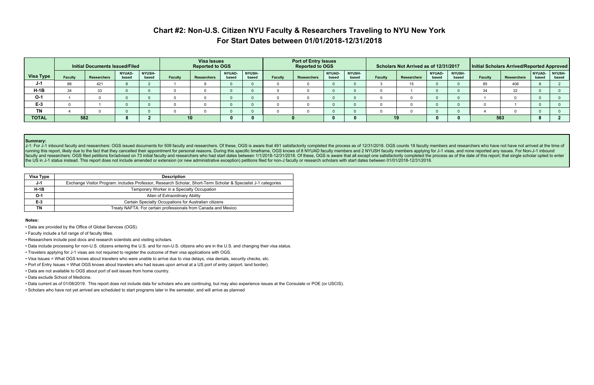# **Chart #2: Non-U.S. Citizen NYU Faculty & Researchers Traveling to NYU New York For Start Dates between 01/01/2018-12/31/2018**

|                  | Initial Documents Issued/Filed |                    |                        |                        | <b>Visa Issues</b><br><b>Reported to OGS</b> |                 |                        |                        | <b>Port of Entry Issues</b><br><b>Reported to OGS</b> |             |                        |                        | Scholars Not Arrived as of 12/31/2017 |             |                        |                        | Initial Scholars Arrived/Reported Approved |             |                 |                        |  |
|------------------|--------------------------------|--------------------|------------------------|------------------------|----------------------------------------------|-----------------|------------------------|------------------------|-------------------------------------------------------|-------------|------------------------|------------------------|---------------------------------------|-------------|------------------------|------------------------|--------------------------------------------|-------------|-----------------|------------------------|--|
| <b>Visa Type</b> | <b>Faculty</b>                 | <b>Researchers</b> | <b>NYUAD-</b><br>based | <b>NYUSH-</b><br>based | <b>Faculty</b>                               | Researchers     | <b>NYUAD-</b><br>based | <b>NYUSH-</b><br>based | Faculty                                               | Researchers | <b>NYUAD-</b><br>based | <b>NYUSH-</b><br>based | <b>Faculty</b>                        | Researchers | <b>NYUAD-</b><br>based | <b>NYUSH-</b><br>based | <b>Faculty</b>                             | Researchers | NYUAD-<br>based | <b>NYUSH-</b><br>based |  |
| J-1              | 88                             | 421                |                        |                        |                                              |                 |                        |                        |                                                       |             |                        |                        |                                       |             |                        |                        | 85                                         | 406         |                 |                        |  |
| $H-1B$           | 34                             | 33                 |                        |                        |                                              |                 |                        |                        |                                                       |             |                        |                        |                                       |             |                        |                        | 34                                         | 32          |                 |                        |  |
| $O-1$            |                                |                    |                        |                        |                                              |                 |                        |                        |                                                       |             |                        |                        |                                       |             |                        |                        |                                            |             |                 |                        |  |
| $E-3$            |                                |                    |                        |                        |                                              |                 |                        |                        |                                                       |             |                        |                        |                                       |             |                        |                        |                                            |             |                 |                        |  |
| <b>TN</b>        |                                |                    |                        |                        |                                              |                 |                        |                        |                                                       |             |                        |                        |                                       |             |                        |                        |                                            |             |                 |                        |  |
| <b>TOTAL</b>     |                                | 582                |                        |                        |                                              | 10 <sup>°</sup> |                        |                        |                                                       |             |                        |                        |                                       |             |                        |                        |                                            | 563         |                 |                        |  |

### **Summary:**

J-1: For J-1 inbound faculty and researchers: OGS issued documents for 509 faculty and researchers. Of these, OGS is aware that 491 satisfactorily completed the process as of 12/31/2018. OGS counts 18 faculty members and r running this report, likely due to the fact that they cancelled their appointment for personal reasons. During this specific timeframe, OGS knows of 8 NYUAD faculty members and 2 NYUSH faculty members applying for J-1 visa faculty and researchers: OGS filed petitions for/advised on 73 initial faculty and researchers who had start dates between 1/1/2018-12/31/2018. Of these, OGS is aware that all except one satisfactorily completed the proces the US in J-1 status instead. This report does not include amended or extension (or new administrative exception) petitions filed for non-J faculty or research scholars with start dates between 01/01/2018-12/31/2018.

| Visa Type | <b>Description</b>                                                                                             |
|-----------|----------------------------------------------------------------------------------------------------------------|
| J-1       | Exchange Visitor Program: includes Professor, Research Scholar, Short-Term Scholar & Specialist J-1 categories |
| $H-1B$    | Temporary Worker in a Specialty Occupation                                                                     |
| $O-1$     | Alien of Extraordinary Ability                                                                                 |
| $E-3$     | Certain Specialty Occupations for Australian citizens                                                          |
| ΤN        | Treaty NAFTA: For certain professionals from Canada and Mexico                                                 |

#### **Notes:**

- Data are provided by the Office of Global Services (OGS).
- Faculty include a full range of of faculty titles.
- Researchers include post docs and research scientists and visiting scholars.
- Data include processing for non-U.S. citizens entering the U.S. and for non-U.S. citizens who are in the U.S. and changing their visa status.
- Travelers applying for J-1 visas are not required to register the outcome of their visa applications with OGS.
- Visa Issues = What OGS knows about travelers who were unable to arrive due to visa delays, visa denials, security checks, etc.
- Port of Entry Issues = What OGS knows about travelers who had issues upon arrival at a US port of entry (airport, land border).
- Data are not available to OGS about port of exit issues from home country.
- Data exclude School of Medicine.
- Data current as of 01/08/2019. This report does not include data for scholars who are continuing, but may also experience issues at the Consulate or POE (or USCIS).
- Scholars who have not yet arrived are scheduled to start programs later in the semester, and will arrive as planned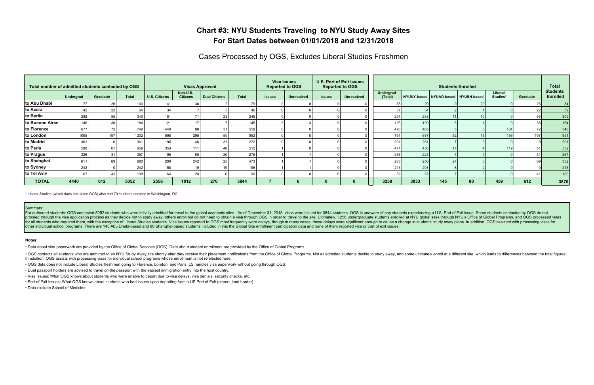# **Chart #3: NYU Students Traveling to NYU Study Away Sites For Start Dates between 01/01/2018 and 12/31/2018**

Cases Processed by OGS, Excludes Liberal Studies Freshmen

|                 | Total number of admitted students contacted by OGS |          |              |                      | <b>Visas Approved</b>       |                      |              |               | <b>Visa Issues</b><br><b>Reported to OGS</b> |               | <b>U.S. Port of Exit Issues</b><br><b>Reported to OGS</b> | <b>Students Enrolled</b> |      |                                     |    |                     |          | <b>Total</b>                       |
|-----------------|----------------------------------------------------|----------|--------------|----------------------|-----------------------------|----------------------|--------------|---------------|----------------------------------------------|---------------|-----------------------------------------------------------|--------------------------|------|-------------------------------------|----|---------------------|----------|------------------------------------|
|                 | Undergrad                                          | Graduate | <b>Total</b> | <b>U.S. Citizens</b> | Non-U.S.<br><b>Citizens</b> | <b>Dual Citizens</b> | <b>Total</b> | <b>Issues</b> | <b>Unresolved</b>                            | <b>Issues</b> | <b>Unresolved</b>                                         | Undergrad<br>(Total)     |      | NYUNY-based NYUAD-based NYUSH-based |    | Liberal<br>Studies* | Graduate | <b>Students</b><br><b>Enrolled</b> |
| to Abu Dhabi    |                                                    | 26       |              |                      |                             |                      |              |               |                                              |               |                                                           |                          |      |                                     |    |                     | 26       | 84                                 |
| to Accra        |                                                    | 22       |              |                      |                             |                      |              |               |                                              |               |                                                           |                          |      |                                     |    |                     | 22       | 59                                 |
| to Berlin       | 288                                                | 55       | 343          | 15 <sup>1</sup>      |                             |                      | 245          |               |                                              |               |                                                           | 254                      | 233  |                                     |    |                     | 55       | 309                                |
| to Buenos Aires | 146                                                | 38       | 184          | 12 <sup>1</sup>      |                             |                      | 145          |               |                                              |               |                                                           | 126                      | 120  |                                     |    |                     | 38       | 164                                |
| to Florence     | 677                                                | 72       | 749          | 440                  |                             |                      | 559          |               |                                              |               |                                                           | 476                      | 465  |                                     |    | 184                 | 72       | 548                                |
| to London       | 1005                                               | 197      | 1202         | 598                  | 295                         |                      | 952          |               |                                              |               |                                                           | 754                      | 687  |                                     |    | 156                 | 197      | 951                                |
| to Madrid       | 361                                                |          | 361          | 195                  |                             |                      | 272          |               |                                              |               |                                                           | 291                      | 281  |                                     |    |                     |          | 291                                |
| to Paris        | 598                                                | 61       | 659          | 353                  | 111                         |                      | 512          |               |                                              |               |                                                           | 471                      | 450  |                                     |    | 119                 | 61       | 532                                |
| to Prague       | 326                                                | 31       | 357          | 195                  |                             |                      | 275          |               |                                              |               |                                                           | 236                      | 223  |                                     |    |                     | 31       | 267                                |
| to Shanghai     | 611                                                | 69       | 680          | 206                  | 242                         |                      | 473          |               |                                              |               |                                                           | 283                      | 256  | 27                                  |    |                     | 69       | 352                                |
| to Sydney       | 242                                                |          | 242          | 158.                 |                             |                      | 196          |               |                                              |               |                                                           | 213                      | 203  |                                     |    |                     |          | 213                                |
| to Tel Aviv     |                                                    |          |              |                      | 20                          |                      |              |               |                                              |               |                                                           |                          | 521  |                                     |    |                     |          | 100                                |
| <b>TOTAL</b>    | 4440                                               | 612      | 5052         | 2556                 | 1012                        | 276                  | 3844         |               |                                              |               |                                                           | 3258                     | 3033 | 145                                 | 80 | 459                 | 612      | 3870                               |

For outbound students: OGS contacted 5052 students who were initially admitted for travel to the global academic sites. As of December 31, 2018, visas were issued for 3844 students. OGS is unaware of any students experienc proceed through the visa application process as they decide not to study away; others enroll but do not need to obtain a visa through OGS in order to travel to the site. Ultimately, 3258 undergraduate students enrolled at for all students who required them, with the exception of Liberal Studies students. Visa issues reported to OGS most frequently were delays, though in many cases, these delays were significant enough to cause a change in s other individual school programs. There are 145 Abu Dhabi-based and 80 Shanghai-based students included in this the Global Site enrollment participation data and none of them reported visa or port of exit issues.

\* Liberal Studies (which does not utilize OGS) also had 70 students enrolled in Washington, DC.

#### Summary:

. OGS contacts all students who are admitted to an NYU Study Away site shortly after they receive their placement notifications from the Office of Global Programs. Not all admitted students decide to study away, and some u In addition, OGS assists with processing visas for individual school programs whose enrollment is not refelected here.

#### **Notes:**

• Data about visa paperwork are provided by the Office of Global Services (OGS). Data about student enrollment are provided by the Office of Global Programs.

• OGS data does not include Liberal Studies freshmen going to Florence, London, and Paris. LS handles visa paperwork without going through OGS.

• Dual passport holders are advised to travel on the passport with the easiest immigration entry into the host country.

• Visa Issues: What OGS knows about students who were unable to depart due to visa delays, visa denials, security checks, etc.

• Port of Exit Issues: What OGS knows about students who had issues upon departing from a US Port of Exit (airport, land border).

• Data exclude School of Medicine.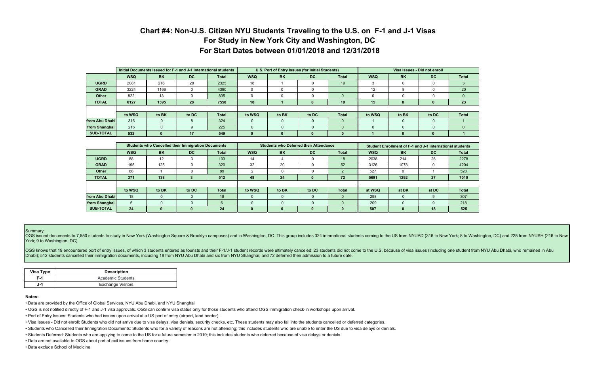# **Chart #4: Non-U.S. Citizen NYU Students Traveling to the U.S. on F-1 and J-1 Visas For Study in New York City and Washington, DC For Start Dates between 01/01/2018 and 12/31/2018**

|                  |            | Initial Documents Issued for F-1 and J-1 international students |       |              |              |           | U.S. Port of Entry Issues (for Initial Students) |              | Visa Issues - Did not enroll |              |          |              |  |  |
|------------------|------------|-----------------------------------------------------------------|-------|--------------|--------------|-----------|--------------------------------------------------|--------------|------------------------------|--------------|----------|--------------|--|--|
|                  | <b>WSQ</b> | <b>BK</b>                                                       | DC    | <b>Total</b> | <b>WSQ</b>   | <b>BK</b> | DC                                               | <b>Total</b> | <b>WSQ</b>                   | <b>BK</b>    | DC       | <b>Total</b> |  |  |
| <b>UGRD</b>      | 2081       | 216                                                             | 28    | 2325         | 18           |           |                                                  | 19           |                              |              |          |              |  |  |
| <b>GRAD</b>      | 3224       | 1166                                                            |       | 4390         |              |           |                                                  |              | 12                           | 8            |          | 20           |  |  |
| Other            | 822        | 13                                                              |       | 835          |              |           |                                                  |              |                              |              |          | $\Omega$     |  |  |
| <b>TOTAL</b>     | 6127       | 1395                                                            | 28    | 7550         | 18           |           |                                                  | 19           | 15                           | 8            | $\bf{0}$ | 23           |  |  |
|                  |            |                                                                 |       |              |              |           |                                                  |              |                              |              |          |              |  |  |
|                  | to WSQ     | to BK                                                           | to DC | <b>Total</b> | to WSQ       | to BK     | to DC                                            | <b>Total</b> | to WSQ                       | to BK        | to DC    | <b>Total</b> |  |  |
| from Abu Dhabil  | 316        | $\Omega$                                                        |       | 324          | $\Omega$     | $\Omega$  |                                                  |              |                              |              |          |              |  |  |
| from Shanghai    | 216        |                                                                 |       | 225          | $\mathbf{0}$ | $\Omega$  |                                                  |              | $\Omega$                     |              |          | $\Omega$     |  |  |
| <b>SUB-TOTAL</b> | 532        | $\mathbf{0}$                                                    | 17    | 549          |              |           |                                                  |              |                              | $\mathbf{0}$ | $\bf{0}$ |              |  |  |

OGS issued documents to 7,550 students to study in New York (Washington Square & Brooklyn campuses) and in Washington, DC. This group includes 324 international students coming to the US from NYUAD (316 to New York; 8 to W York; 9 to Washington, DC).

OGS knows that 19 encountered port of entry issues, of which 3 students entered as tourists and their F-1/J-1 student records were ultimately canceled; 23 students did not come to the U.S. because of visa issues (including Dhabi); 512 students cancelled their immigration documents, including 18 from NYU Abu Dhabi and six from NYU Shanghai; and 72 deferred their admission to a future date.

|                  |            | <b>Students who Cancelled their Immigration Documents</b> |       |              |            |              | <b>Students who Deferred their Attendance</b> |              |            |           | Student Enrollment of F-1 and J-1 international students |              |
|------------------|------------|-----------------------------------------------------------|-------|--------------|------------|--------------|-----------------------------------------------|--------------|------------|-----------|----------------------------------------------------------|--------------|
|                  | <b>WSQ</b> | <b>BK</b>                                                 | DC.   | <b>Total</b> | <b>WSQ</b> | <b>BK</b>    | <b>DC</b>                                     | <b>Total</b> | <b>WSQ</b> | <b>BK</b> | DC                                                       | <b>Total</b> |
| <b>UGRD</b>      | 88         | 12                                                        |       | 103          | 14         |              |                                               | 18           | 2038       | 214       | 26                                                       | 2278         |
| <b>GRAD</b>      | 195        | 125                                                       |       | 320          | 32         | 20           |                                               | 52           | 3126       | 1078      |                                                          | 4204         |
| <b>Other</b>     | 88         |                                                           |       | 89           |            |              |                                               |              | 527        | $\Omega$  |                                                          | 528          |
| <b>TOTAL</b>     | 371        | 138                                                       |       | 512          | 48         | 24           | 0                                             | 72           | 5691       | 1292      | 27                                                       | 7010         |
|                  |            |                                                           |       |              |            |              |                                               |              |            |           |                                                          |              |
|                  | to WSQ     | to BK                                                     | to DC | <b>Total</b> | to WSQ     | to BK        | to DC                                         | <b>Total</b> | at WSQ     | at BK     | at DC                                                    | <b>Total</b> |
| from Abu Dhabi   | 18         |                                                           |       | 18           |            |              |                                               | $\Omega$     | 298        |           |                                                          | 307          |
| from Shanghai    | 6          |                                                           |       | 6            |            |              |                                               |              | 209        |           |                                                          | 218          |
| <b>SUB-TOTAL</b> | 24         | <sup>0</sup>                                              | 0     | 24           | $\bf{0}$   | <sup>0</sup> | 0                                             | 0            | 507        | n         | 18                                                       | 525          |

#### Summary:

| Visa Type | <b>Description</b>       |
|-----------|--------------------------|
| F-1       | Academic Students        |
| J-1       | <b>Exchange Visitors</b> |

#### **Notes:**

- Data are provided by the Office of Global Services, NYU Abu Dhabi, and NYU Shanghai
- OGS is not notified directly of F-1 and J-1 visa approvals. OGS can confirm visa status only for those students who attend OGS immigration check-in workshops upon arrival.
- Port of Entry Issues: Students who had issues upon arrival at a US port of entry (airport, land border).
- Visa Issues Did not enroll: Students who did not arrive due to visa delays, visa denials, security checks, etc. These students may also fall into the students cancelled or deferred categories.
- Students who Cancelled their Immigration Documents: Students who for a variety of reasons are not attending; this includes students who are unable to enter the US due to visa delays or denials.
- Students Deferred: Students who are applying to come to the US for a future semester in 2019; this includes students who deferred because of visa delays or denials.
- Data are not available to OGS about port of exit issues from home country.
- Data exclude School of Medicine.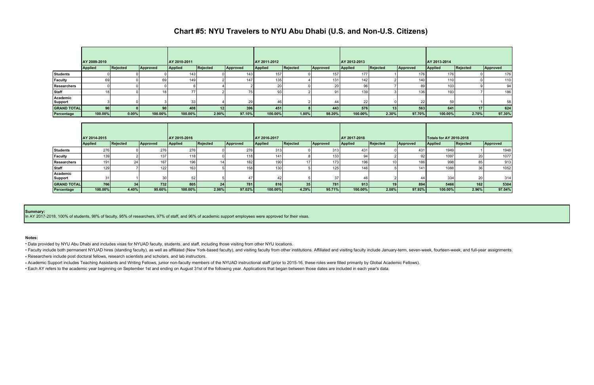## **Chart #5: NYU Travelers to NYU Abu Dhabi (U.S. and Non-U.S. Citizens)**

|                            | AY 2009-2010    |          |                 | AY 2010-2011   |          |          | AY 2011-2012 |                 |                 | LAY 2012-2013  |                 |                  | LAY 2013-2014  |          |                 |
|----------------------------|-----------------|----------|-----------------|----------------|----------|----------|--------------|-----------------|-----------------|----------------|-----------------|------------------|----------------|----------|-----------------|
|                            | <b>Applied</b>  | Rejected | Approved        | <b>Applied</b> | Rejected | Approved | Applied      | <b>Rejected</b> | Approved        | <b>Applied</b> | <b>Rejected</b> | Approved         | <b>Applied</b> | Rejected | Approved        |
| <b>Students</b>            |                 |          |                 | 143            |          | 143      | 157          |                 | 157             | 177            |                 | 176              | 176            |          | 176             |
| Faculty                    | 69              |          | 69              | 149            |          | 147      | 135          |                 | 131             | 142            |                 | 140.             | 110            |          | 110             |
| Researchers                |                 |          |                 |                |          |          | 20           |                 | 20 <sub>l</sub> | 96             |                 | 89               | 103            |          | 94 <sub>1</sub> |
| <b>Staff</b>               | 18              |          | 18 <sub>1</sub> | 77             |          | 75       | 93           |                 | 91              | 139            |                 | 136 <sub>1</sub> | 193            |          | 186             |
| Academic<br><b>Support</b> |                 |          |                 | 33             |          | 29       | -46          |                 | 44              | 22             |                 | 22               | 59             |          | 58              |
| <b>GRAND TOTAL</b>         | 90 <sup>1</sup> |          |                 | 408            |          | 396      | 451          |                 | 443             | 576            | 13 <sup>1</sup> | 563              | 641            |          | 624             |
| Percentage                 | 100.00%         | $0.00\%$ | 100.00%         | 100.00%        | 2.90%    | 97.10%   | 100.00%      | 1.80%           | 98.20%          | 100.00%        | 2.30%           | 97.70%           | 100.00%        | 2.70%    | 97.30%          |

|                     | AY 2014-2015   |          |          | LAY 2015-2016    |          |                  | LAY 2016-2017    |          |                  | AY 2017-2018 |          |           | <b>Totals for AY 2010-2018</b> |                 |          |
|---------------------|----------------|----------|----------|------------------|----------|------------------|------------------|----------|------------------|--------------|----------|-----------|--------------------------------|-----------------|----------|
|                     | <b>Applied</b> | Rejected | Approved | <b>Applied</b>   | Rejected | Approved         | Applied          | Rejected | Approved         | Applied      | Rejected | Approved  | Applied                        | Rejected        | Approved |
| <b>Students</b>     | 276            |          | 276      | 276              |          | 276              | 313              |          | 313              | 431          |          | 431       | 1949                           |                 | 1948     |
| <b>Faculty</b>      | 139            |          | 137      | 118 <sub>1</sub> |          | 118 I            | 141              |          | 133              | 94           |          | 92        | 1097                           | 20              | 1077     |
| <b>Researchers</b>  | 191            | 24       | 167      | 196              |          | 182              | 190              |          | 173.             | 196          |          | 1861      | 998                            | 85              | 913      |
| Staff               | 129            |          | 122      | 163              |          | 158 <sup>1</sup> | 130 <sub>1</sub> |          | 125 <sub>1</sub> | 146          |          | 141       | 1088                           | 36              | 1052     |
| Academic<br>Support | 31             |          | 30       | 52               |          | 47               | 42               |          | 37               |              |          | 44        | 334                            | 20 <sup>1</sup> | 314      |
| <b>GRAND TOTAL</b>  | 766            |          | 732      | 805              |          | <b>781</b>       | 816              |          | 781              | 913          |          | 894       | 5466                           | 162             | 5304     |
| Percentage          | 100.00%        | 4.40%    | 95.60%   | 100.00%          | 2.98%    | 97.02%           | 100.00%          | 4.29%    | 95.71%           | 100.00%      | 2.08%    | $97.92\%$ | 100.00%                        | $2.96\%$        | 97.04%   |

#### **Summary:**

In AY 2017-2018, 100% of students, 98% of faculty, 95% of researchers, 97% of staff, and 96% of academic support employees were approved for their visas.

### **Notes:**

• Data provided by NYU Abu Dhabi and includes visas for NYUAD faculty, students, and staff, including those visiting from other NYU locations.

• Faculty include both permanent NYUAD hires (standing faculty), as well as affiliated (New York-based faculty), and visiting faculty from other institutions. Affiliated and visiting faculty include January-term, seven-wee

• Researchers include post doctoral fellows, research scientists and scholars, and lab instructors.

• Academic Support includes Teaching Assistants and Writing Fellows, junior non-faculty members of the NYUAD instructional staff (prior to 2015-16, these roles were filled primarily by Global Academic Fellows).

• Each AY refers to the academic year beginning on September 1st and ending on August 31st of the following year. Applications that began between those dates are included in each year's data.